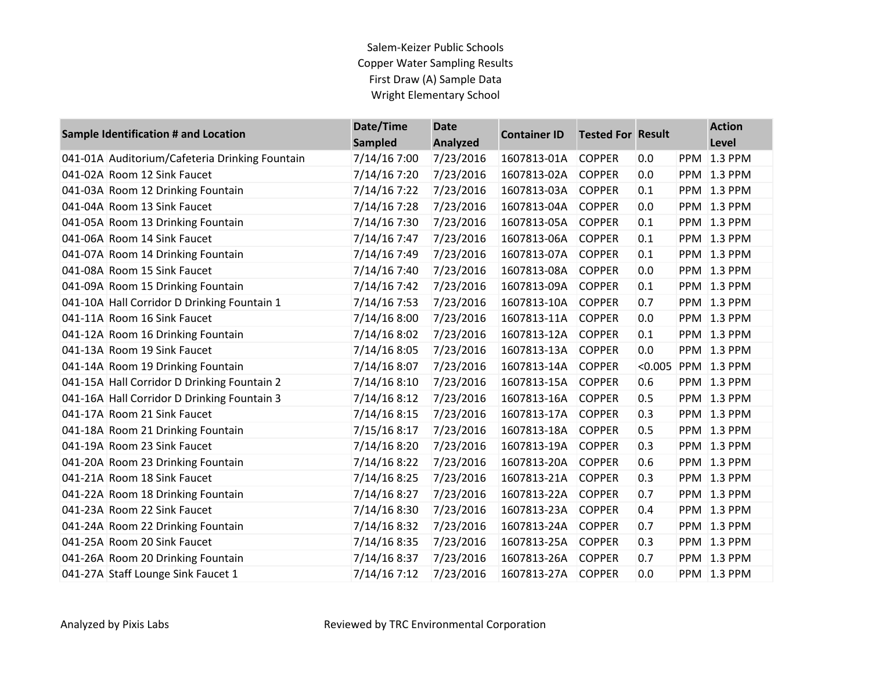## Salem-Keizer Public Schools Copper Water Sampling Results First Draw (A) Sample Data Wright Elementary School

| Sample Identification # and Location           | Date/Time<br><b>Sampled</b> | <b>Date</b><br><b>Analyzed</b> | <b>Container ID</b> | <b>Tested For Result</b> |         | <b>Action</b><br>Level |
|------------------------------------------------|-----------------------------|--------------------------------|---------------------|--------------------------|---------|------------------------|
| 041-01A Auditorium/Cafeteria Drinking Fountain | 7/14/16 7:00                | 7/23/2016                      | 1607813-01A         | <b>COPPER</b>            | 0.0     | <b>PPM 1.3 PPM</b>     |
| 041-02A Room 12 Sink Faucet                    | 7/14/16 7:20                | 7/23/2016                      | 1607813-02A         | <b>COPPER</b>            | 0.0     | <b>PPM 1.3 PPM</b>     |
| 041-03A Room 12 Drinking Fountain              | 7/14/16 7:22                | 7/23/2016                      | 1607813-03A         | <b>COPPER</b>            | 0.1     | <b>PPM 1.3 PPM</b>     |
| 041-04A Room 13 Sink Faucet                    | 7/14/16 7:28                | 7/23/2016                      | 1607813-04A         | <b>COPPER</b>            | 0.0     | <b>PPM 1.3 PPM</b>     |
| 041-05A Room 13 Drinking Fountain              | 7/14/16 7:30                | 7/23/2016                      | 1607813-05A         | <b>COPPER</b>            | 0.1     | <b>PPM 1.3 PPM</b>     |
| 041-06A Room 14 Sink Faucet                    | 7/14/16 7:47                | 7/23/2016                      | 1607813-06A         | <b>COPPER</b>            | 0.1     | <b>PPM 1.3 PPM</b>     |
| 041-07A Room 14 Drinking Fountain              | 7/14/16 7:49                | 7/23/2016                      | 1607813-07A         | <b>COPPER</b>            | 0.1     | <b>PPM 1.3 PPM</b>     |
| 041-08A Room 15 Sink Faucet                    | 7/14/16 7:40                | 7/23/2016                      | 1607813-08A         | <b>COPPER</b>            | 0.0     | <b>PPM 1.3 PPM</b>     |
| 041-09A Room 15 Drinking Fountain              | 7/14/16 7:42                | 7/23/2016                      | 1607813-09A         | <b>COPPER</b>            | 0.1     | <b>PPM 1.3 PPM</b>     |
| 041-10A Hall Corridor D Drinking Fountain 1    | 7/14/16 7:53                | 7/23/2016                      | 1607813-10A         | <b>COPPER</b>            | 0.7     | <b>PPM 1.3 PPM</b>     |
| 041-11A Room 16 Sink Faucet                    | 7/14/16 8:00                | 7/23/2016                      | 1607813-11A         | <b>COPPER</b>            | 0.0     | <b>PPM 1.3 PPM</b>     |
| 041-12A Room 16 Drinking Fountain              | 7/14/16 8:02                | 7/23/2016                      | 1607813-12A         | <b>COPPER</b>            | 0.1     | <b>PPM 1.3 PPM</b>     |
| 041-13A Room 19 Sink Faucet                    | 7/14/16 8:05                | 7/23/2016                      | 1607813-13A         | <b>COPPER</b>            | 0.0     | <b>PPM 1.3 PPM</b>     |
| 041-14A Room 19 Drinking Fountain              | 7/14/16 8:07                | 7/23/2016                      | 1607813-14A         | <b>COPPER</b>            | < 0.005 | PPM 1.3 PPM            |
| 041-15A Hall Corridor D Drinking Fountain 2    | 7/14/16 8:10                | 7/23/2016                      | 1607813-15A         | <b>COPPER</b>            | 0.6     | <b>PPM 1.3 PPM</b>     |
| 041-16A Hall Corridor D Drinking Fountain 3    | 7/14/16 8:12                | 7/23/2016                      | 1607813-16A         | <b>COPPER</b>            | 0.5     | <b>PPM 1.3 PPM</b>     |
| 041-17A Room 21 Sink Faucet                    | 7/14/16 8:15                | 7/23/2016                      | 1607813-17A         | <b>COPPER</b>            | 0.3     | <b>PPM 1.3 PPM</b>     |
| 041-18A Room 21 Drinking Fountain              | 7/15/16 8:17                | 7/23/2016                      | 1607813-18A         | <b>COPPER</b>            | 0.5     | <b>PPM 1.3 PPM</b>     |
| 041-19A Room 23 Sink Faucet                    | 7/14/16 8:20                | 7/23/2016                      | 1607813-19A         | <b>COPPER</b>            | 0.3     | <b>PPM 1.3 PPM</b>     |
| 041-20A Room 23 Drinking Fountain              | 7/14/16 8:22                | 7/23/2016                      | 1607813-20A         | <b>COPPER</b>            | 0.6     | <b>PPM 1.3 PPM</b>     |
| 041-21A Room 18 Sink Faucet                    | 7/14/16 8:25                | 7/23/2016                      | 1607813-21A         | <b>COPPER</b>            | 0.3     | <b>PPM 1.3 PPM</b>     |
| 041-22A Room 18 Drinking Fountain              | 7/14/16 8:27                | 7/23/2016                      | 1607813-22A         | <b>COPPER</b>            | 0.7     | <b>PPM 1.3 PPM</b>     |
| 041-23A Room 22 Sink Faucet                    | 7/14/16 8:30                | 7/23/2016                      | 1607813-23A         | <b>COPPER</b>            | 0.4     | <b>PPM 1.3 PPM</b>     |
| 041-24A Room 22 Drinking Fountain              | 7/14/16 8:32                | 7/23/2016                      | 1607813-24A         | <b>COPPER</b>            | 0.7     | <b>PPM 1.3 PPM</b>     |
| 041-25A Room 20 Sink Faucet                    | 7/14/16 8:35                | 7/23/2016                      | 1607813-25A         | <b>COPPER</b>            | 0.3     | <b>PPM 1.3 PPM</b>     |
| 041-26A Room 20 Drinking Fountain              | 7/14/16 8:37                | 7/23/2016                      | 1607813-26A         | <b>COPPER</b>            | 0.7     | <b>PPM 1.3 PPM</b>     |
| 041-27A Staff Lounge Sink Faucet 1             | 7/14/16 7:12                | 7/23/2016                      | 1607813-27A         | <b>COPPER</b>            | 0.0     | <b>PPM 1.3 PPM</b>     |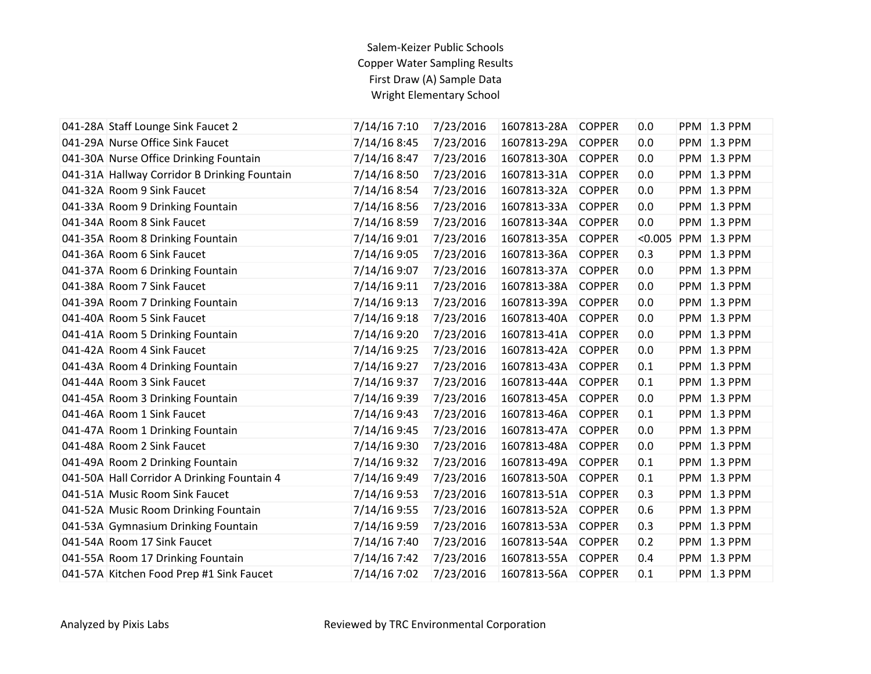## Salem-Keizer Public Schools Copper Water Sampling Results First Draw (A) Sample Data Wright Elementary School

| 041-28A Staff Lounge Sink Faucet 2           | 7/14/16 7:10 | 7/23/2016 | 1607813-28A | <b>COPPER</b> | 0.0     | <b>PPM 1.3 PPM</b> |
|----------------------------------------------|--------------|-----------|-------------|---------------|---------|--------------------|
| 041-29A Nurse Office Sink Faucet             | 7/14/16 8:45 | 7/23/2016 | 1607813-29A | <b>COPPER</b> | 0.0     | <b>PPM 1.3 PPM</b> |
| 041-30A Nurse Office Drinking Fountain       | 7/14/16 8:47 | 7/23/2016 | 1607813-30A | <b>COPPER</b> | 0.0     | <b>PPM 1.3 PPM</b> |
| 041-31A Hallway Corridor B Drinking Fountain | 7/14/16 8:50 | 7/23/2016 | 1607813-31A | <b>COPPER</b> | 0.0     | <b>PPM 1.3 PPM</b> |
| 041-32A Room 9 Sink Faucet                   | 7/14/16 8:54 | 7/23/2016 | 1607813-32A | <b>COPPER</b> | 0.0     | <b>PPM</b> 1.3 PPM |
| 041-33A Room 9 Drinking Fountain             | 7/14/16 8:56 | 7/23/2016 | 1607813-33A | <b>COPPER</b> | 0.0     | PPM 1.3 PPM        |
| 041-34A Room 8 Sink Faucet                   | 7/14/16 8:59 | 7/23/2016 | 1607813-34A | <b>COPPER</b> | 0.0     | <b>PPM 1.3 PPM</b> |
| 041-35A Room 8 Drinking Fountain             | 7/14/16 9:01 | 7/23/2016 | 1607813-35A | <b>COPPER</b> | < 0.005 | PPM 1.3 PPM        |
| 041-36A Room 6 Sink Faucet                   | 7/14/16 9:05 | 7/23/2016 | 1607813-36A | <b>COPPER</b> | 0.3     | <b>PPM</b> 1.3 PPM |
| 041-37A Room 6 Drinking Fountain             | 7/14/16 9:07 | 7/23/2016 | 1607813-37A | <b>COPPER</b> | 0.0     | PPM 1.3 PPM        |
| 041-38A Room 7 Sink Faucet                   | 7/14/16 9:11 | 7/23/2016 | 1607813-38A | <b>COPPER</b> | 0.0     | PPM 1.3 PPM        |
| 041-39A Room 7 Drinking Fountain             | 7/14/16 9:13 | 7/23/2016 | 1607813-39A | <b>COPPER</b> | 0.0     | <b>PPM</b> 1.3 PPM |
| 041-40A Room 5 Sink Faucet                   | 7/14/16 9:18 | 7/23/2016 | 1607813-40A | <b>COPPER</b> | 0.0     | <b>PPM 1.3 PPM</b> |
| 041-41A Room 5 Drinking Fountain             | 7/14/16 9:20 | 7/23/2016 | 1607813-41A | <b>COPPER</b> | 0.0     | <b>PPM 1.3 PPM</b> |
| 041-42A Room 4 Sink Faucet                   | 7/14/16 9:25 | 7/23/2016 | 1607813-42A | <b>COPPER</b> | 0.0     | PPM 1.3 PPM        |
| 041-43A Room 4 Drinking Fountain             | 7/14/16 9:27 | 7/23/2016 | 1607813-43A | <b>COPPER</b> | 0.1     | <b>PPM 1.3 PPM</b> |
| 041-44A Room 3 Sink Faucet                   | 7/14/16 9:37 | 7/23/2016 | 1607813-44A | <b>COPPER</b> | 0.1     | <b>PPM</b> 1.3 PPM |
| 041-45A Room 3 Drinking Fountain             | 7/14/16 9:39 | 7/23/2016 | 1607813-45A | <b>COPPER</b> | 0.0     | <b>PPM 1.3 PPM</b> |
| 041-46A Room 1 Sink Faucet                   | 7/14/16 9:43 | 7/23/2016 | 1607813-46A | <b>COPPER</b> | 0.1     | <b>PPM 1.3 PPM</b> |
| 041-47A Room 1 Drinking Fountain             | 7/14/16 9:45 | 7/23/2016 | 1607813-47A | <b>COPPER</b> | 0.0     | PPM 1.3 PPM        |
| 041-48A Room 2 Sink Faucet                   | 7/14/16 9:30 | 7/23/2016 | 1607813-48A | <b>COPPER</b> | 0.0     | <b>PPM 1.3 PPM</b> |
| 041-49A Room 2 Drinking Fountain             | 7/14/16 9:32 | 7/23/2016 | 1607813-49A | <b>COPPER</b> | 0.1     | PPM 1.3 PPM        |
| 041-50A Hall Corridor A Drinking Fountain 4  | 7/14/16 9:49 | 7/23/2016 | 1607813-50A | <b>COPPER</b> | 0.1     | <b>PPM 1.3 PPM</b> |
| 041-51A Music Room Sink Faucet               | 7/14/16 9:53 | 7/23/2016 | 1607813-51A | <b>COPPER</b> | 0.3     | <b>PPM 1.3 PPM</b> |
| 041-52A Music Room Drinking Fountain         | 7/14/16 9:55 | 7/23/2016 | 1607813-52A | <b>COPPER</b> | 0.6     | <b>PPM 1.3 PPM</b> |
| 041-53A Gymnasium Drinking Fountain          | 7/14/16 9:59 | 7/23/2016 | 1607813-53A | <b>COPPER</b> | 0.3     | <b>PPM 1.3 PPM</b> |
| 041-54A Room 17 Sink Faucet                  | 7/14/16 7:40 | 7/23/2016 | 1607813-54A | <b>COPPER</b> | 0.2     | PPM 1.3 PPM        |
| 041-55A Room 17 Drinking Fountain            | 7/14/16 7:42 | 7/23/2016 | 1607813-55A | <b>COPPER</b> | 0.4     | <b>PPM 1.3 PPM</b> |
| 041-57A Kitchen Food Prep #1 Sink Faucet     | 7/14/16 7:02 | 7/23/2016 | 1607813-56A | <b>COPPER</b> | 0.1     | <b>PPM 1.3 PPM</b> |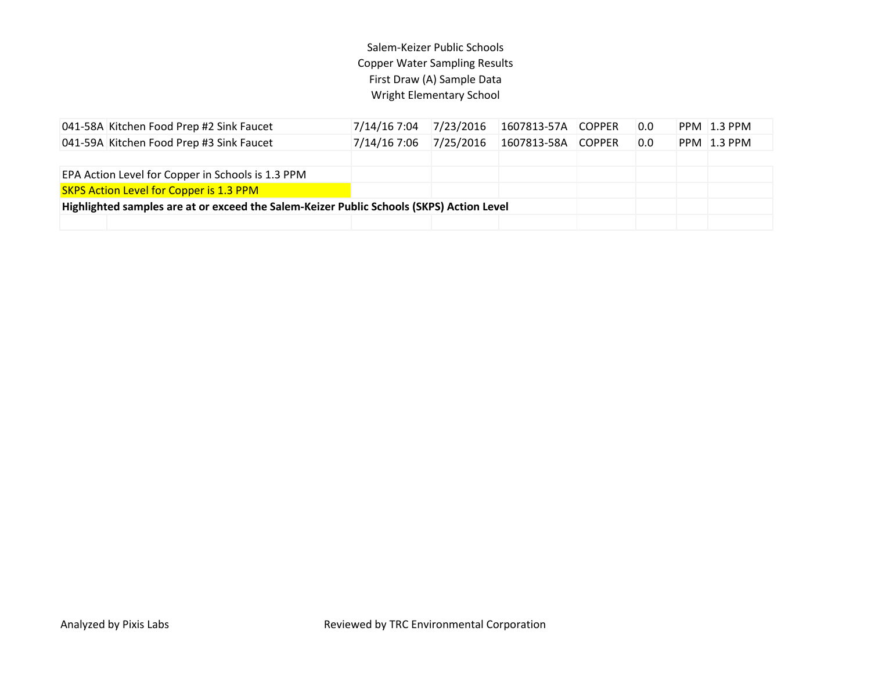## Salem-Keizer Public Schools Copper Water Sampling Results First Draw (A) Sample Data Wright Elementary School

| 041-58A Kitchen Food Prep #2 Sink Faucet                                                 | 7/14/16 7:04 | 7/23/2016 | 1607813-57A COPPER |  | 0.0 |  | PPM 1.3 PPM |
|------------------------------------------------------------------------------------------|--------------|-----------|--------------------|--|-----|--|-------------|
| 041-59A Kitchen Food Prep #3 Sink Faucet                                                 | 7/14/16 7:06 | 7/25/2016 | 1607813-58A COPPER |  | 0.0 |  | PPM 1.3 PPM |
|                                                                                          |              |           |                    |  |     |  |             |
| EPA Action Level for Copper in Schools is 1.3 PPM                                        |              |           |                    |  |     |  |             |
| <b>SKPS Action Level for Copper is 1.3 PPM</b>                                           |              |           |                    |  |     |  |             |
| Highlighted samples are at or exceed the Salem-Keizer Public Schools (SKPS) Action Level |              |           |                    |  |     |  |             |
|                                                                                          |              |           |                    |  |     |  |             |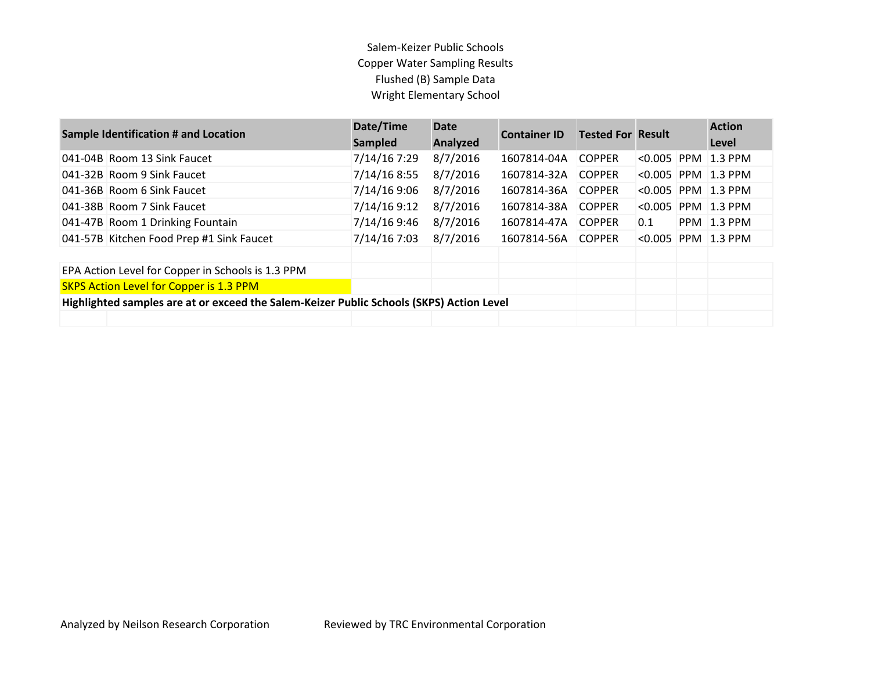## Salem-Keizer Public Schools Copper Water Sampling Results Flushed (B) Sample Data Wright Elementary School

| <b>Sample Identification # and Location</b>                                              | Date/Time<br>Sampled | <b>Date</b><br>Analyzed | <b>Container ID</b> | <b>Tested For Result</b> |         |            | <b>Action</b><br>Level |
|------------------------------------------------------------------------------------------|----------------------|-------------------------|---------------------|--------------------------|---------|------------|------------------------|
| 041-04B Room 13 Sink Faucet                                                              | 7/14/16 7:29         | 8/7/2016                | 1607814-04A         | <b>COPPER</b>            | < 0.005 | <b>PPM</b> | $1.3$ PPM              |
| 041-32B Room 9 Sink Faucet                                                               | 7/14/16 8:55         | 8/7/2016                | 1607814-32A         | <b>COPPER</b>            | < 0.005 |            | $PPM$ 1.3 PPM          |
| 041-36B Room 6 Sink Faucet                                                               | 7/14/16 9:06         | 8/7/2016                | 1607814-36A         | <b>COPPER</b>            | < 0.005 |            | $PPM$ 1.3 PPM          |
| 041-38B Room 7 Sink Faucet                                                               | 7/14/16 9:12         | 8/7/2016                | 1607814-38A         | <b>COPPER</b>            | < 0.005 |            | PPM 1.3 PPM            |
| 041-47B Room 1 Drinking Fountain                                                         | 7/14/16 9:46         | 8/7/2016                | 1607814-47A         | <b>COPPER</b>            | 0.1     |            | <b>PPM 1.3 PPM</b>     |
| 041-57B Kitchen Food Prep #1 Sink Faucet                                                 | 7/14/16 7:03         | 8/7/2016                | 1607814-56A         | <b>COPPER</b>            | < 0.005 |            | $PPM$ 1.3 PPM          |
|                                                                                          |                      |                         |                     |                          |         |            |                        |
| EPA Action Level for Copper in Schools is 1.3 PPM                                        |                      |                         |                     |                          |         |            |                        |
| <b>SKPS Action Level for Copper is 1.3 PPM</b>                                           |                      |                         |                     |                          |         |            |                        |
| Highlighted samples are at or exceed the Salem-Keizer Public Schools (SKPS) Action Level |                      |                         |                     |                          |         |            |                        |
|                                                                                          |                      |                         |                     |                          |         |            |                        |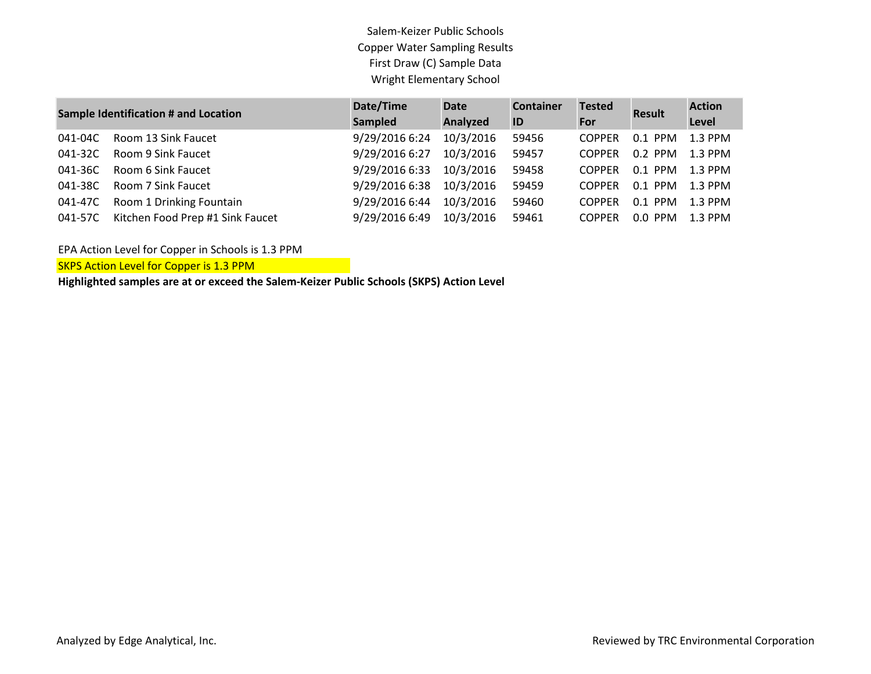Salem-Keizer Public Schools Copper Water Sampling Results First Draw (C) Sample Data Wright Elementary School

| <b>Sample Identification # and Location</b> |                                  | Date/Time      | <b>Date</b> | <b>Container</b><br><b>Tested</b> |               | <b>Result</b> | <b>Action</b> |
|---------------------------------------------|----------------------------------|----------------|-------------|-----------------------------------|---------------|---------------|---------------|
|                                             |                                  | Sampled        | Analyzed    | ID                                | For           |               | Level         |
| 041-04C                                     | Room 13 Sink Faucet              | 9/29/2016 6:24 | 10/3/2016   | 59456                             | <b>COPPER</b> | $0.1$ PPM     | 1.3 PPM       |
| 041-32C                                     | Room 9 Sink Faucet               | 9/29/2016 6:27 | 10/3/2016   | 59457                             | <b>COPPER</b> | $0.2$ PPM     | $1.3$ PPM     |
| 041-36C                                     | Room 6 Sink Faucet               | 9/29/2016 6:33 | 10/3/2016   | 59458                             | <b>COPPER</b> | $0.1$ PPM     | $1.3$ PPM     |
| 041-38C                                     | Room 7 Sink Faucet               | 9/29/2016 6:38 | 10/3/2016   | 59459                             | <b>COPPER</b> | $0.1$ PPM     | $1.3$ PPM     |
| 041-47C                                     | Room 1 Drinking Fountain         | 9/29/2016 6:44 | 10/3/2016   | 59460                             | <b>COPPER</b> | $0.1$ PPM     | $1.3$ PPM     |
| 041-57C                                     | Kitchen Food Prep #1 Sink Faucet | 9/29/2016 6:49 | 10/3/2016   | 59461                             | <b>COPPER</b> | $0.0$ PPM     | $1.3$ PPM     |

EPA Action Level for Copper in Schools is 1.3 PPM

**SKPS Action Level for Copper is 1.3 PPM** 

**Highlighted samples are at or exceed the Salem-Keizer Public Schools (SKPS) Action Level**